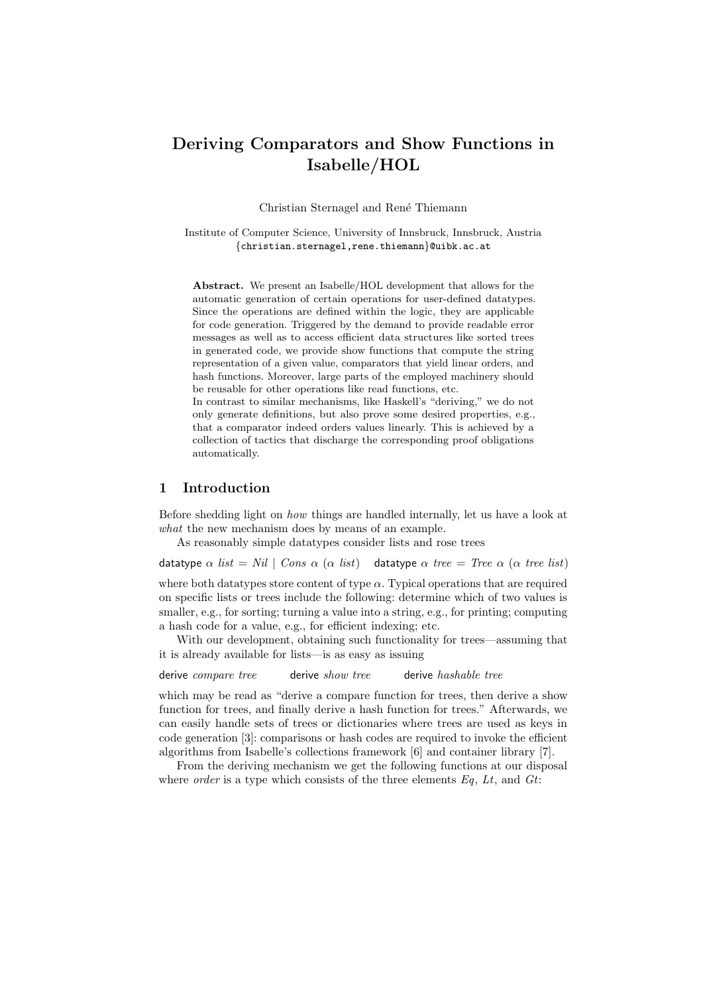# Deriving Comparators and Show Functions in Isabelle/HOL

Christian Sternagel and Ren´e Thiemann

Institute of Computer Science, University of Innsbruck, Innsbruck, Austria {christian.sternagel,rene.thiemann}@uibk.ac.at

Abstract. We present an Isabelle/HOL development that allows for the automatic generation of certain operations for user-defined datatypes. Since the operations are defined within the logic, they are applicable for code generation. Triggered by the demand to provide readable error messages as well as to access efficient data structures like sorted trees in generated code, we provide show functions that compute the string representation of a given value, comparators that yield linear orders, and hash functions. Moreover, large parts of the employed machinery should be reusable for other operations like read functions, etc.

In contrast to similar mechanisms, like Haskell's "deriving," we do not only generate definitions, but also prove some desired properties, e.g., that a comparator indeed orders values linearly. This is achieved by a collection of tactics that discharge the corresponding proof obligations automatically.

# 1 Introduction

Before shedding light on how things are handled internally, let us have a look at what the new mechanism does by means of an example.

As reasonably simple datatypes consider lists and rose trees

datatype  $\alpha$  list = Nil | Cons  $\alpha$  ( $\alpha$  list) datatype  $\alpha$  tree = Tree  $\alpha$  ( $\alpha$  tree list)

where both datatypes store content of type  $\alpha$ . Typical operations that are required on specific lists or trees include the following: determine which of two values is smaller, e.g., for sorting; turning a value into a string, e.g., for printing; computing a hash code for a value, e.g., for efficient indexing; etc.

With our development, obtaining such functionality for trees—assuming that it is already available for lists—is as easy as issuing

derive compare tree derive show tree derive hashable tree

which may be read as "derive a compare function for trees, then derive a show function for trees, and finally derive a hash function for trees." Afterwards, we can easily handle sets of trees or dictionaries where trees are used as keys in code generation [\[3\]](#page-15-0): comparisons or hash codes are required to invoke the efficient algorithms from Isabelle's collections framework [\[6\]](#page-15-1) and container library [\[7\]](#page-15-2).

From the deriving mechanism we get the following functions at our disposal where *order* is a type which consists of the three elements  $Eq, Lt$ , and  $Gt$ :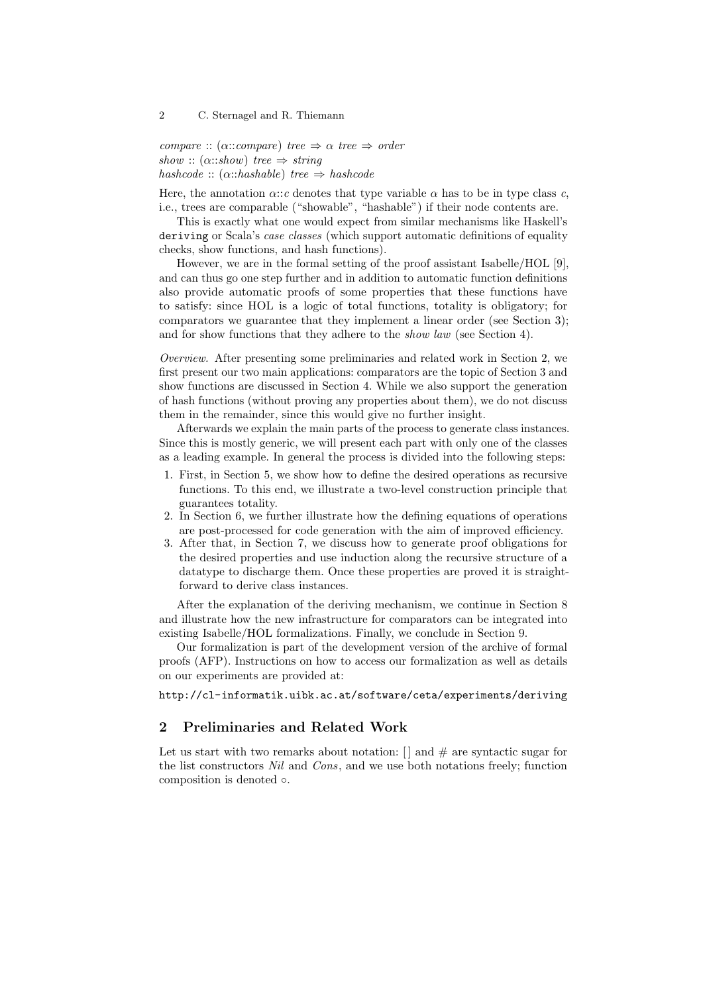compare :: ( $\alpha$ ::compare) tree  $\Rightarrow \alpha$  tree  $\Rightarrow$  order show ::  $(\alpha::show)$  tree  $\Rightarrow$  string hashcode ::  $(\alpha$ ::hashable) tree  $\Rightarrow$  hashcode

Here, the annotation  $\alpha$ :: c denotes that type variable  $\alpha$  has to be in type class c, i.e., trees are comparable ("showable", "hashable") if their node contents are.

This is exactly what one would expect from similar mechanisms like Haskell's deriving or Scala's case classes (which support automatic definitions of equality checks, show functions, and hash functions).

However, we are in the formal setting of the proof assistant Isabelle/HOL [\[9\]](#page-15-3), and can thus go one step further and in addition to automatic function definitions also provide automatic proofs of some properties that these functions have to satisfy: since HOL is a logic of total functions, totality is obligatory; for comparators we guarantee that they implement a linear order (see Section [3\)](#page-3-0); and for show functions that they adhere to the show law (see Section [4\)](#page-5-0).

Overview. After presenting some preliminaries and related work in Section [2,](#page-1-0) we first present our two main applications: comparators are the topic of Section [3](#page-3-0) and show functions are discussed in Section [4.](#page-5-0) While we also support the generation of hash functions (without proving any properties about them), we do not discuss them in the remainder, since this would give no further insight.

Afterwards we explain the main parts of the process to generate class instances. Since this is mostly generic, we will present each part with only one of the classes as a leading example. In general the process is divided into the following steps:

- 1. First, in Section [5,](#page-6-0) we show how to define the desired operations as recursive functions. To this end, we illustrate a two-level construction principle that guarantees totality.
- 2. In Section [6,](#page-9-0) we further illustrate how the defining equations of operations are post-processed for code generation with the aim of improved efficiency.
- 3. After that, in Section [7,](#page-10-0) we discuss how to generate proof obligations for the desired properties and use induction along the recursive structure of a datatype to discharge them. Once these properties are proved it is straightforward to derive class instances.

After the explanation of the deriving mechanism, we continue in Section [8](#page-12-0) and illustrate how the new infrastructure for comparators can be integrated into existing Isabelle/HOL formalizations. Finally, we conclude in Section [9.](#page-14-0)

Our formalization is part of the development version of the archive of formal proofs (AFP). Instructions on how to access our formalization as well as details on our experiments are provided at:

<http://cl-informatik.uibk.ac.at/software/ceta/experiments/deriving>

# <span id="page-1-0"></span>2 Preliminaries and Related Work

Let us start with two remarks about notation:  $\Box$  and  $\#$  are syntactic sugar for the list constructors Nil and Cons, and we use both notations freely; function composition is denoted ◦.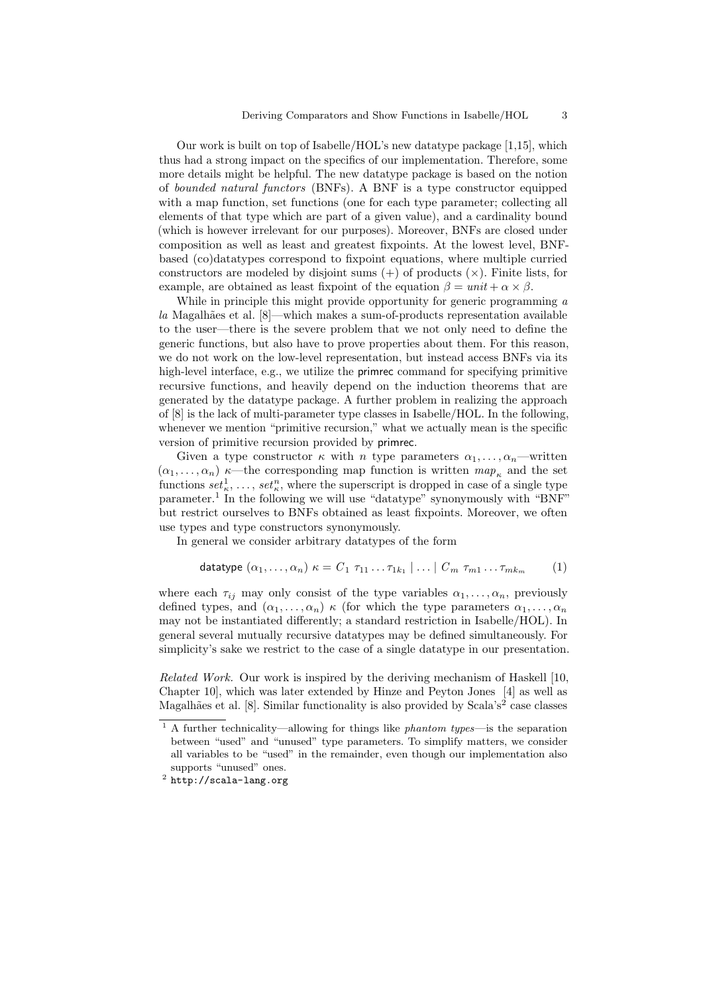Our work is built on top of Isabelle/HOL's new datatype package [\[1](#page-15-4)[,15\]](#page-15-5), which thus had a strong impact on the specifics of our implementation. Therefore, some more details might be helpful. The new datatype package is based on the notion of bounded natural functors (BNFs). A BNF is a type constructor equipped with a map function, set functions (one for each type parameter; collecting all elements of that type which are part of a given value), and a cardinality bound (which is however irrelevant for our purposes). Moreover, BNFs are closed under composition as well as least and greatest fixpoints. At the lowest level, BNFbased (co)datatypes correspond to fixpoint equations, where multiple curried constructors are modeled by disjoint sums  $(+)$  of products  $(x)$ . Finite lists, for example, are obtained as least fixpoint of the equation  $\beta = unit + \alpha \times \beta$ .

While in principle this might provide opportunity for generic programming a  $la$ Magalhães et al. [\[8\]](#page-15-6)—which makes a sum-of-products representation available to the user—there is the severe problem that we not only need to define the generic functions, but also have to prove properties about them. For this reason, we do not work on the low-level representation, but instead access BNFs via its high-level interface, e.g., we utilize the **primrec** command for specifying primitive recursive functions, and heavily depend on the induction theorems that are generated by the datatype package. A further problem in realizing the approach of [\[8\]](#page-15-6) is the lack of multi-parameter type classes in Isabelle/HOL. In the following, whenever we mention "primitive recursion," what we actually mean is the specific version of primitive recursion provided by primrec.

Given a type constructor  $\kappa$  with n type parameters  $\alpha_1, \ldots, \alpha_n$ —written  $(\alpha_1, \ldots, \alpha_n)$  k—the corresponding map function is written  $map_{\kappa}$  and the set functions  $set_{\kappa}^1, \ldots, set_{\kappa}^n$ , where the superscript is dropped in case of a single type parameter.[1](#page-2-0) In the following we will use "datatype" synonymously with "BNF" but restrict ourselves to BNFs obtained as least fixpoints. Moreover, we often use types and type constructors synonymously.

In general we consider arbitrary datatypes of the form

<span id="page-2-2"></span>
$$
\mathsf{datatype}\ (\alpha_1,\ldots,\alpha_n)\ \kappa = C_1\ \tau_{11}\ldots\tau_{1k_1}\ |\ldots\ |\ C_m\ \tau_{m1}\ldots\tau_{mk_m} \qquad \ (1)
$$

where each  $\tau_{ij}$  may only consist of the type variables  $\alpha_1, \ldots, \alpha_n$ , previously defined types, and  $(\alpha_1, \ldots, \alpha_n)$   $\kappa$  (for which the type parameters  $\alpha_1, \ldots, \alpha_n$ ) may not be instantiated differently; a standard restriction in Isabelle/HOL). In general several mutually recursive datatypes may be defined simultaneously. For simplicity's sake we restrict to the case of a single datatype in our presentation.

Related Work. Our work is inspired by the deriving mechanism of Haskell [\[10,](#page-15-7) Chapter 10], which was later extended by Hinze and Peyton Jones [\[4\]](#page-15-8) as well as Magalhães et al. [\[8\]](#page-15-6). Similar functionality is also provided by Scala's<sup>[2](#page-2-1)</sup> case classes

<span id="page-2-0"></span> $1$  A further technicality—allowing for things like *phantom types*—is the separation between "used" and "unused" type parameters. To simplify matters, we consider all variables to be "used" in the remainder, even though our implementation also supports "unused" ones.

<span id="page-2-1"></span> $^2$  <http://scala-lang.org>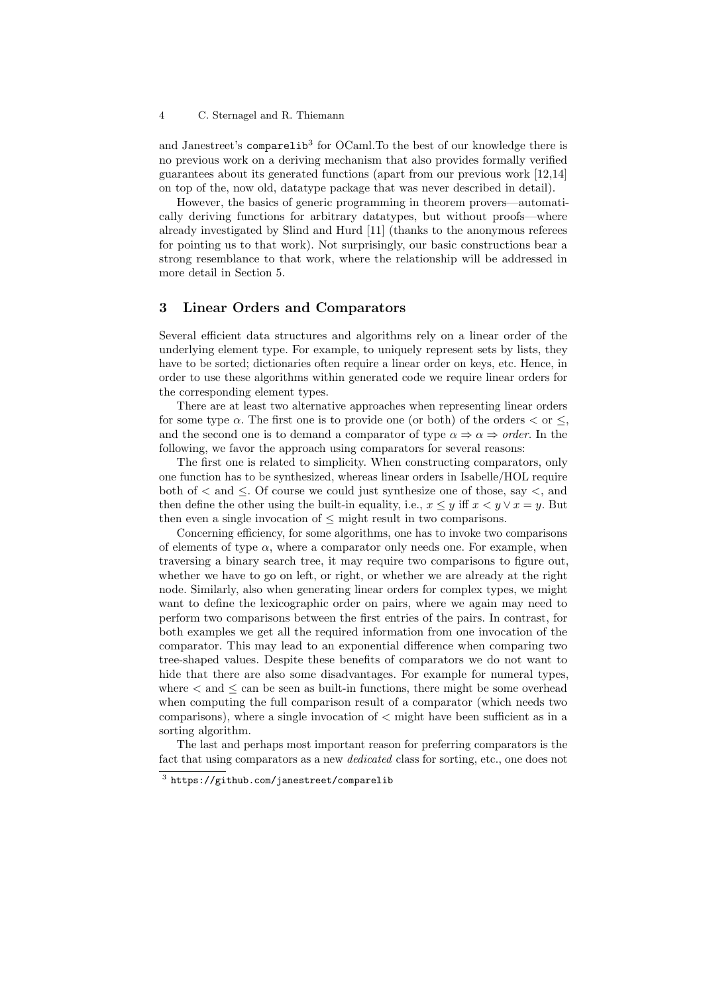and Janestreet's comparelib<sup>[3](#page-3-1)</sup> for OCaml.To the best of our knowledge there is no previous work on a deriving mechanism that also provides formally verified guarantees about its generated functions (apart from our previous work [\[12,](#page-15-9)[14\]](#page-15-10) on top of the, now old, datatype package that was never described in detail).

However, the basics of generic programming in theorem provers—automatically deriving functions for arbitrary datatypes, but without proofs—where already investigated by Slind and Hurd [\[11\]](#page-15-11) (thanks to the anonymous referees for pointing us to that work). Not surprisingly, our basic constructions bear a strong resemblance to that work, where the relationship will be addressed in more detail in Section [5.](#page-6-0)

### <span id="page-3-0"></span>3 Linear Orders and Comparators

Several efficient data structures and algorithms rely on a linear order of the underlying element type. For example, to uniquely represent sets by lists, they have to be sorted; dictionaries often require a linear order on keys, etc. Hence, in order to use these algorithms within generated code we require linear orders for the corresponding element types.

There are at least two alternative approaches when representing linear orders for some type  $\alpha$ . The first one is to provide one (or both) of the orders  $\lt$  or  $\leq$ , and the second one is to demand a comparator of type  $\alpha \Rightarrow \alpha \Rightarrow order$ . In the following, we favor the approach using comparators for several reasons:

The first one is related to simplicity. When constructing comparators, only one function has to be synthesized, whereas linear orders in Isabelle/HOL require both of  $\lt$  and  $\leq$ . Of course we could just synthesize one of those, say  $\lt$ , and then define the other using the built-in equality, i.e.,  $x \leq y$  iff  $x < y \vee x = y$ . But then even a single invocation of  $\leq$  might result in two comparisons.

Concerning efficiency, for some algorithms, one has to invoke two comparisons of elements of type  $\alpha$ , where a comparator only needs one. For example, when traversing a binary search tree, it may require two comparisons to figure out, whether we have to go on left, or right, or whether we are already at the right node. Similarly, also when generating linear orders for complex types, we might want to define the lexicographic order on pairs, where we again may need to perform two comparisons between the first entries of the pairs. In contrast, for both examples we get all the required information from one invocation of the comparator. This may lead to an exponential difference when comparing two tree-shaped values. Despite these benefits of comparators we do not want to hide that there are also some disadvantages. For example for numeral types, where  $\lt$  and  $\leq$  can be seen as built-in functions, there might be some overhead when computing the full comparison result of a comparator (which needs two comparisons), where a single invocation of  $\lt$  might have been sufficient as in a sorting algorithm.

The last and perhaps most important reason for preferring comparators is the fact that using comparators as a new dedicated class for sorting, etc., one does not

<span id="page-3-1"></span> $^3$  <https://github.com/janestreet/comparelib>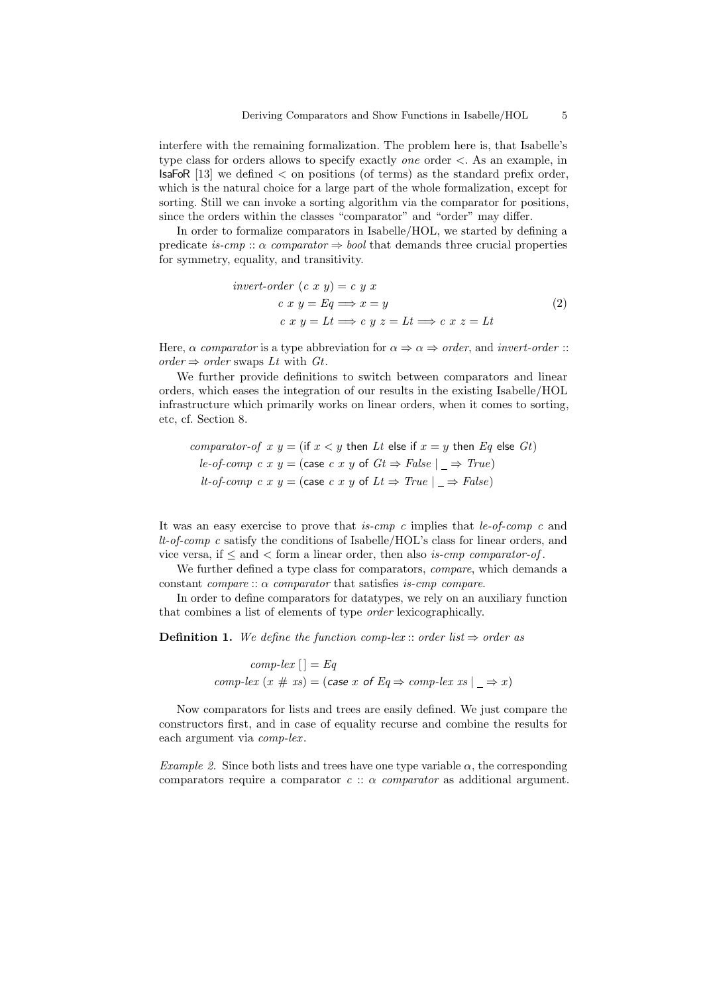interfere with the remaining formalization. The problem here is, that Isabelle's type class for orders allows to specify exactly one order <. As an example, in  $IsaFoR$  [\[13\]](#page-15-12) we defined  $\lt$  on positions (of terms) as the standard prefix order, which is the natural choice for a large part of the whole formalization, except for sorting. Still we can invoke a sorting algorithm via the comparator for positions, since the orders within the classes "comparator" and "order" may differ.

In order to formalize comparators in Isabelle/HOL, we started by defining a predicate is-cmp ::  $\alpha$  comparator  $\Rightarrow$  bool that demands three crucial properties for symmetry, equality, and transitivity.

<span id="page-4-1"></span>
$$
invert-order (c x y) = c y x
$$
  
\n
$$
c x y = Eq \Longrightarrow x = y
$$
  
\n
$$
c x y = Lt \Longrightarrow c y z = Lt \Longrightarrow c x z = Lt
$$
\n(2)

Here,  $\alpha$  comparator is a type abbreviation for  $\alpha \Rightarrow \alpha \Rightarrow order$ , and invert-order ::  $order \Rightarrow order$  swaps Lt with Gt.

We further provide definitions to switch between comparators and linear orders, which eases the integration of our results in the existing Isabelle/HOL infrastructure which primarily works on linear orders, when it comes to sorting, etc, cf. Section [8.](#page-12-0)

\n
$$
comparator\text{-}of x y = (\text{if } x < y \text{ then } Lt \text{ else if } x = y \text{ then } Eq \text{ else } Gt)
$$
\n

\n\n $le\text{-}of\text{-}comp \text{ }c x y = (\text{case } c x y \text{ of } Gt \Rightarrow False \mid \bot \Rightarrow True)$ \n

\n\n $lt\text{-}of\text{-}comp \text{ }c x y = (\text{case } c x y \text{ of } Lt \Rightarrow True \mid \bot \Rightarrow False)$ \n

It was an easy exercise to prove that *is-cmp c* implies that *le-of-comp c* and lt-of-comp c satisfy the conditions of Isabelle/HOL's class for linear orders, and vice versa, if  $\leq$  and  $\lt$  form a linear order, then also *is-cmp comparator-of*.

We further defined a type class for comparators, compare, which demands a constant *compare* ::  $\alpha$  *comparator* that satisfies *is-cmp compare*.

In order to define comparators for datatypes, we rely on an auxiliary function that combines a list of elements of type order lexicographically.

**Definition 1.** We define the function comp-lex :: order list  $\Rightarrow$  order as

 $comp$ -lex  $[$   $]$  = Eq comp-lex  $(x \# xs) = (case \ x \ of \ Eq \Rightarrow complex \ xs \ | \ _{\sim} \Rightarrow x)$ 

Now comparators for lists and trees are easily defined. We just compare the constructors first, and in case of equality recurse and combine the results for each argument via *comp-lex*.

<span id="page-4-0"></span>Example 2. Since both lists and trees have one type variable  $\alpha$ , the corresponding comparators require a comparator  $c :: \alpha$  comparator as additional argument.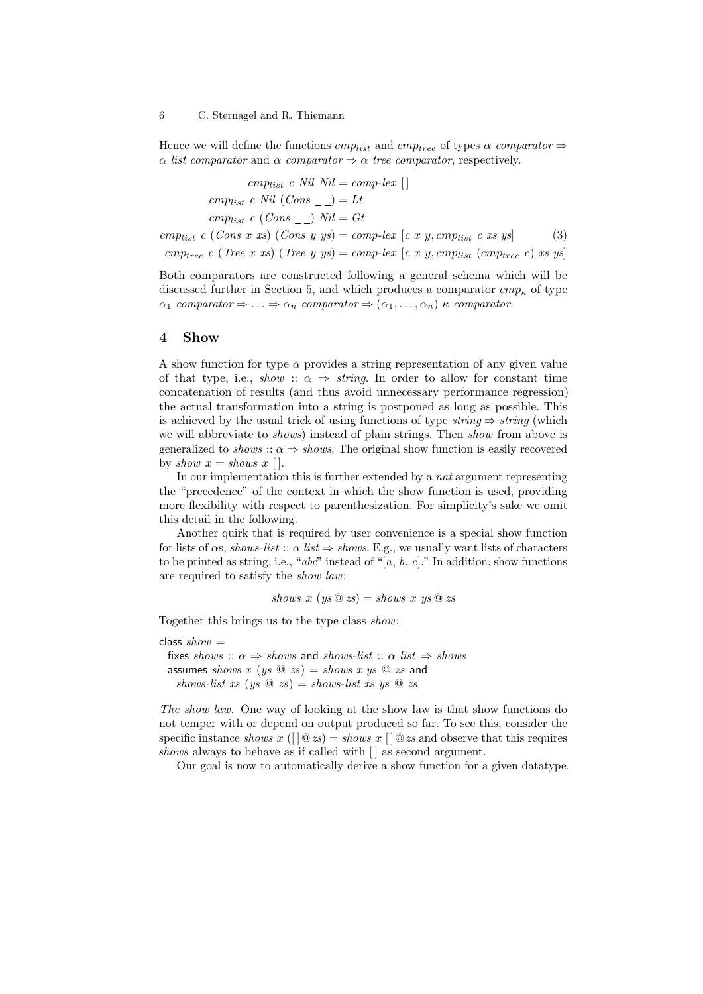Hence we will define the functions  $cmp_{list}$  and  $cmp_{tree}$  of types  $\alpha$  comparator  $\Rightarrow$  $\alpha$  list comparator and  $\alpha$  comparator  $\Rightarrow \alpha$  tree comparator, respectively.

<span id="page-5-2"></span>
$$
cmp_{list} c Nil Nil = comp-lex []
$$
  
\n
$$
cmp_{list} c Nil (Cons \_ ) = Lt
$$
  
\n
$$
cmp_{list} c (Cons \_ ) Nil = Gt
$$
  
\n
$$
cmp_{list} c (Cons x xs) (Cons y ys) = comp-lex [c x y, comp_{list} c xs ys] (3)
$$
  
\n
$$
cmp_{tree} c (Tree x xs) (Tree y ys) = comp-lex [c x y, comp_{list} (cmp_{tree} c) xs ys]
$$

Both comparators are constructed following a general schema which will be discussed further in Section [5,](#page-6-0) and which produces a comparator  $cmp_{\kappa}$  of type  $\alpha_1$  comparator  $\Rightarrow \ldots \Rightarrow \alpha_n$  comparator  $\Rightarrow (\alpha_1, \ldots, \alpha_n)$  κ comparator.

### <span id="page-5-0"></span>4 Show

A show function for type  $\alpha$  provides a string representation of any given value of that type, i.e., show ::  $\alpha \Rightarrow$  string. In order to allow for constant time concatenation of results (and thus avoid unnecessary performance regression) the actual transformation into a string is postponed as long as possible. This is achieved by the usual trick of using functions of type  $string \Rightarrow string$  (which we will abbreviate to *shows*) instead of plain strings. Then *show* from above is generalized to *shows* ::  $\alpha \Rightarrow$  *shows*. The original show function is easily recovered by show  $x =$  shows  $x \in \mathbb{R}$ .

In our implementation this is further extended by a nat argument representing the "precedence" of the context in which the show function is used, providing more flexibility with respect to parenthesization. For simplicity's sake we omit this detail in the following.

Another quirk that is required by user convenience is a special show function for lists of  $\alpha s$ , shows-list ::  $\alpha$  list  $\Rightarrow$  shows. E.g., we usually want lists of characters to be printed as string, i.e., " $abc$ " instead of "[a, b, c]." In addition, show functions are required to satisfy the show law:

shows  $x (y \otimes z) =$ shows  $x y \otimes z$ s

Together this brings us to the type class show:

class  $show =$ 

fixes shows ::  $\alpha \Rightarrow$  shows and shows-list ::  $\alpha$  list  $\Rightarrow$  shows assumes shows x (ys  $\mathcal{Q}$  zs) = shows x ys  $\mathcal{Q}$  zs and shows-list xs  $(ys \mathcal{Q} zs) = shows-list xs \mathcal{Q} zs$ 

The show law. One way of looking at the show law is that show functions do not temper with or depend on output produced so far. To see this, consider the specific instance shows  $x \in (\lceil \log z \rceil = \text{shows } x \rceil \cdot \log x$  and observe that this requires shows always to behave as if called with  $\lfloor \cdot \rfloor$  as second argument.

<span id="page-5-1"></span>Our goal is now to automatically derive a show function for a given datatype.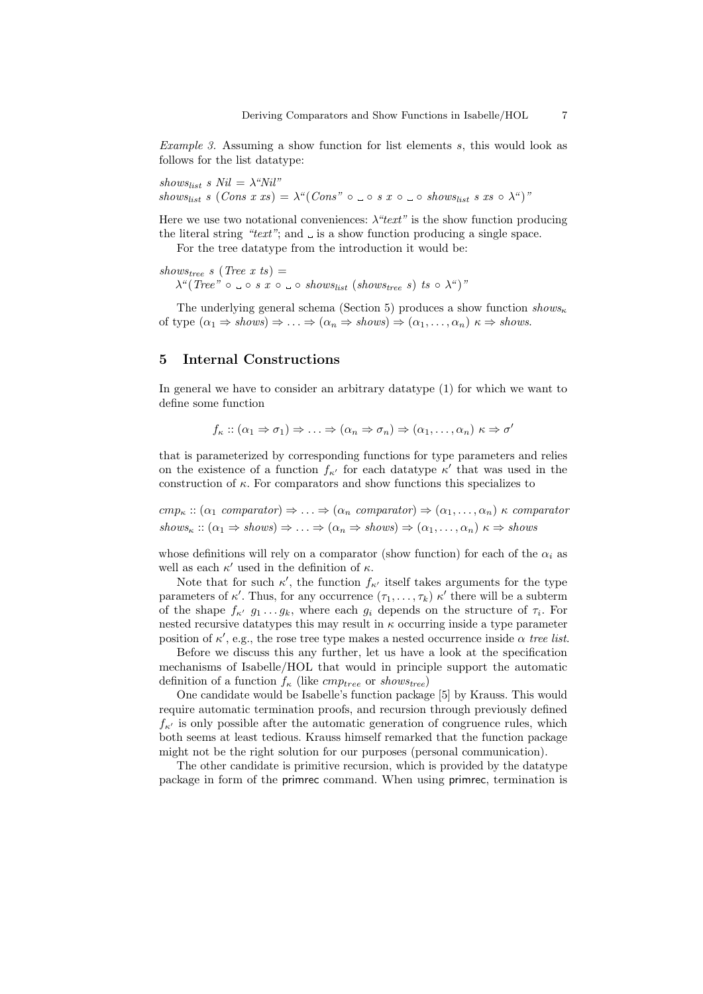Example 3. Assuming a show function for list elements s, this would look as follows for the list datatype:

shows<sub>list</sub> s Nil =  $\lambda$ "Nil"  $shows_{list}$  s  $(Cons\ x\ xs) = \lambda^{\alpha}(Cons\ "o\ \_\circ\ s\ x\ \circ\ \_\circ\ shows_{list}\ s\ xs\ \circ\ \lambda^{\alpha})$ "

Here we use two notational conveniences:  $\lambda$ "text" is the show function producing the literal string "text"; and  $\overline{\ }$  is a show function producing a single space.

For the tree datatype from the introduction it would be:

shows<sub>tree</sub> s (Tree x ts) =  $\lambda$ " (Tree"  $\circ$   $\circ$   $\circ$   $s$  x  $\circ$   $\circ$   $\circ$  shows<sub>list</sub> (shows<sub>tree</sub> s) ts  $\circ$   $\lambda$ ")"

The underlying general schema (Section [5\)](#page-6-0) produces a show function  $shows<sub>\kappa</sub>$ of type  $(\alpha_1 \Rightarrow \text{shows}) \Rightarrow \dots \Rightarrow (\alpha_n \Rightarrow \text{shows}) \Rightarrow (\alpha_1, \dots, \alpha_n) \approx \text{shows}.$ 

# <span id="page-6-0"></span>5 Internal Constructions

In general we have to consider an arbitrary datatype [\(1\)](#page-2-2) for which we want to define some function

$$
f_{\kappa} : (\alpha_1 \Rightarrow \sigma_1) \Rightarrow \ldots \Rightarrow (\alpha_n \Rightarrow \sigma_n) \Rightarrow (\alpha_1, \ldots, \alpha_n) \kappa \Rightarrow \sigma'
$$

that is parameterized by corresponding functions for type parameters and relies on the existence of a function  $f_{\kappa}$  for each datatype  $\kappa'$  that was used in the construction of  $\kappa$ . For comparators and show functions this specializes to

 $cmp_{\kappa} :: (\alpha_1 \; comparator) \Rightarrow ... \Rightarrow (\alpha_n \; comparator) \Rightarrow (\alpha_1, ..., \alpha_n) \; \kappa \; comparison$  $shows_{\kappa}$ ::  $(\alpha_1 \Rightarrow shows) \Rightarrow \ldots \Rightarrow (\alpha_n \Rightarrow shows) \Rightarrow (\alpha_1, \ldots, \alpha_n) \approx s hours$ 

whose definitions will rely on a comparator (show function) for each of the  $\alpha_i$  as well as each  $\kappa'$  used in the definition of  $\kappa$ .

Note that for such  $\kappa'$ , the function  $f_{\kappa'}$  itself takes arguments for the type parameters of  $\kappa'$ . Thus, for any occurrence  $(\tau_1, \ldots, \tau_k)$   $\kappa'$  there will be a subterm of the shape  $f_{\kappa}$   $g_1 \ldots g_k$ , where each  $g_i$  depends on the structure of  $\tau_i$ . For nested recursive datatypes this may result in  $\kappa$  occurring inside a type parameter position of  $\kappa'$ , e.g., the rose tree type makes a nested occurrence inside  $\alpha$  tree list.

Before we discuss this any further, let us have a look at the specification mechanisms of Isabelle/HOL that would in principle support the automatic definition of a function  $f_{\kappa}$  (like  $cmp_{tree}$  or shows<sub>tree</sub>)

One candidate would be Isabelle's function package [\[5\]](#page-15-13) by Krauss. This would require automatic termination proofs, and recursion through previously defined  $f_{\kappa}$  is only possible after the automatic generation of congruence rules, which both seems at least tedious. Krauss himself remarked that the function package might not be the right solution for our purposes (personal communication).

The other candidate is primitive recursion, which is provided by the datatype package in form of the primrec command. When using primrec, termination is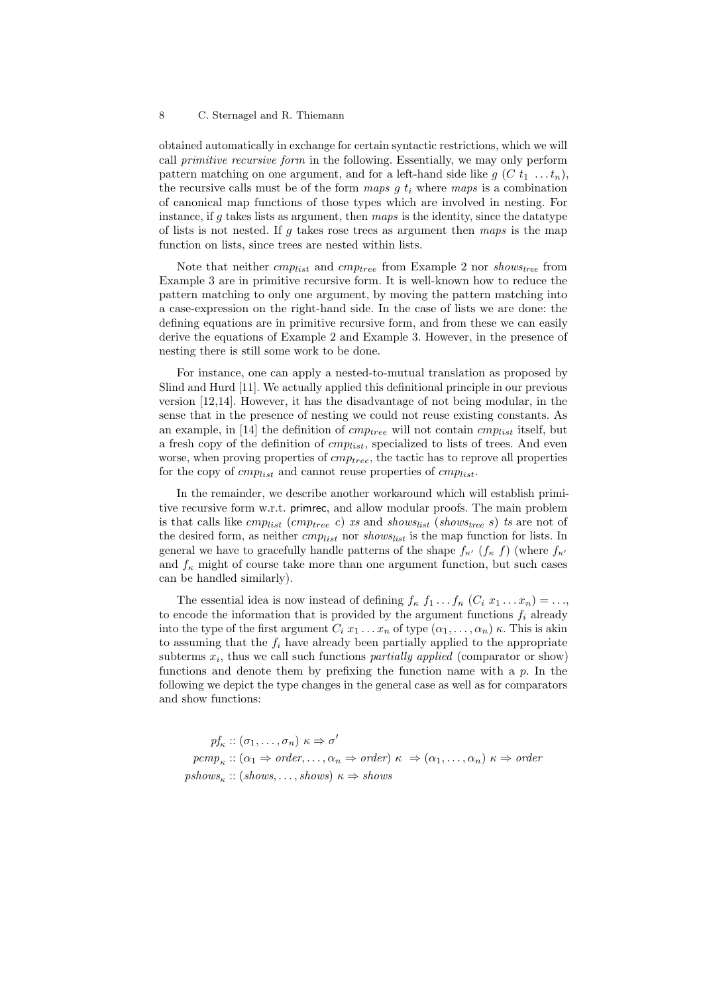obtained automatically in exchange for certain syntactic restrictions, which we will call primitive recursive form in the following. Essentially, we may only perform pattern matching on one argument, and for a left-hand side like  $g(C t_1 ... t_n)$ , the recursive calls must be of the form maps  $q t_i$ , where maps is a combination of canonical map functions of those types which are involved in nesting. For instance, if  $g$  takes lists as argument, then maps is the identity, since the datatype of lists is not nested. If  $g$  takes rose trees as argument then  $maps$  is the map function on lists, since trees are nested within lists.

Note that neither  $cmp_{list}$  and  $cmp_{tree}$  from Example [2](#page-4-0) nor shows<sub>tree</sub> from Example [3](#page-5-1) are in primitive recursive form. It is well-known how to reduce the pattern matching to only one argument, by moving the pattern matching into a case-expression on the right-hand side. In the case of lists we are done: the defining equations are in primitive recursive form, and from these we can easily derive the equations of Example [2](#page-4-0) and Example [3.](#page-5-1) However, in the presence of nesting there is still some work to be done.

For instance, one can apply a nested-to-mutual translation as proposed by Slind and Hurd [\[11\]](#page-15-11). We actually applied this definitional principle in our previous version [\[12,](#page-15-9)[14\]](#page-15-10). However, it has the disadvantage of not being modular, in the sense that in the presence of nesting we could not reuse existing constants. As an example, in [\[14\]](#page-15-10) the definition of  $cmp_{tree}$  will not contain  $cmp_{list}$  itself, but a fresh copy of the definition of  $cmp_{list}$ , specialized to lists of trees. And even worse, when proving properties of  $cmp_{tree}$ , the tactic has to reprove all properties for the copy of  $cmp_{list}$  and cannot reuse properties of  $cmp_{list}$ .

In the remainder, we describe another workaround which will establish primitive recursive form w.r.t. primrec, and allow modular proofs. The main problem is that calls like  $cmp_{list} (cmp_{tree} c)$  xs and shows<sub>list</sub> (shows<sub>tree</sub> s) ts are not of the desired form, as neither  $cmp_{list}$  nor shows<sub>list</sub> is the map function for lists. In general we have to gracefully handle patterns of the shape  $f_{\kappa'}(f_{\kappa} f)$  (where  $f_{\kappa'}$ and  $f_{\kappa}$  might of course take more than one argument function, but such cases can be handled similarly).

The essential idea is now instead of defining  $f_{\kappa} f_1 \dots f_n (C_i x_1 \dots x_n) = \dots$ to encode the information that is provided by the argument functions  $f_i$  already into the type of the first argument  $C_i x_1 \ldots x_n$  of type  $(\alpha_1, \ldots, \alpha_n)$   $\kappa$ . This is akin to assuming that the  $f_i$  have already been partially applied to the appropriate subterms  $x_i$ , thus we call such functions *partially applied* (comparator or show) functions and denote them by prefixing the function name with a  $p$ . In the following we depict the type changes in the general case as well as for comparators and show functions:

 $pf_{\kappa} : (\sigma_1, \ldots, \sigma_n) \kappa \Rightarrow \sigma'$  $pcmp_{\kappa}::(\alpha_1 \Rightarrow order, \ldots, \alpha_n \Rightarrow order) \kappa \Rightarrow (\alpha_1, \ldots, \alpha_n) \kappa \Rightarrow order$  $pshows_{\kappa}::(shows,\ldots,shows) \kappa \Rightarrow shows$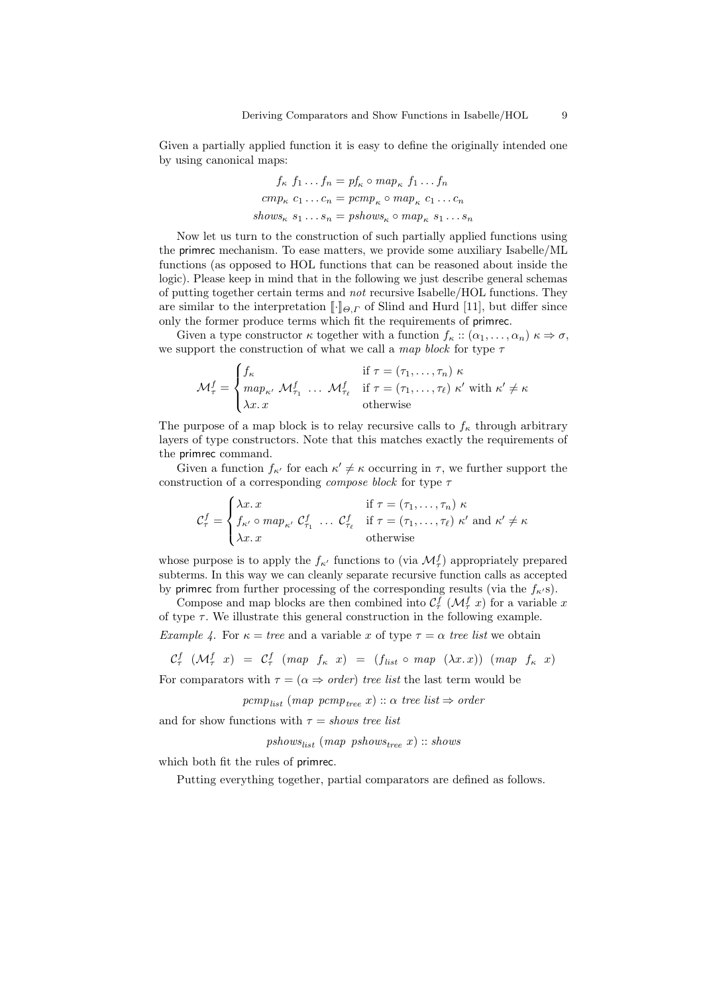Given a partially applied function it is easy to define the originally intended one by using canonical maps:

$$
f_{\kappa} f_1 \dots f_n = pf_{\kappa} \circ map_{\kappa} f_1 \dots f_n
$$
  

$$
cmp_{\kappa} c_1 \dots c_n = pcmp_{\kappa} \circ map_{\kappa} c_1 \dots c_n
$$
  

$$
shows_{\kappa} s_1 \dots s_n = pshows_{\kappa} \circ map_{\kappa} s_1 \dots s_n
$$

Now let us turn to the construction of such partially applied functions using the primrec mechanism. To ease matters, we provide some auxiliary Isabelle/ML functions (as opposed to HOL functions that can be reasoned about inside the logic). Please keep in mind that in the following we just describe general schemas of putting together certain terms and not recursive Isabelle/HOL functions. They are similar to the interpretation  $\llbracket \cdot \rrbracket_{\Theta,\Gamma}$  of Slind and Hurd [\[11\]](#page-15-11), but differ since only the former produce terms which fit the requirements of primrec.

Given a type constructor  $\kappa$  together with a function  $f_{\kappa}$  ::  $(\alpha_1, \ldots, \alpha_n)$   $\kappa \Rightarrow \sigma$ , we support the construction of what we call a map block for type  $\tau$ 

$$
\mathcal{M}_{\tau}^{f} = \begin{cases} f_{\kappa} & \text{if } \tau = (\tau_{1}, \dots, \tau_{n}) \kappa \\ \max_{\kappa'} \mathcal{M}_{\tau_{1}}^{f} & \dots \mathcal{M}_{\tau_{\ell}}^{f} & \text{if } \tau = (\tau_{1}, \dots, \tau_{\ell}) \kappa' \text{ with } \kappa' \neq \kappa \\ \lambda x. x & \text{otherwise} \end{cases}
$$

The purpose of a map block is to relay recursive calls to  $f_{\kappa}$  through arbitrary layers of type constructors. Note that this matches exactly the requirements of the primrec command.

Given a function  $f_{\kappa'}$  for each  $\kappa' \neq \kappa$  occurring in  $\tau$ , we further support the construction of a corresponding *compose block* for type  $\tau$ 

$$
\mathcal{C}_{\tau}^{f} = \begin{cases} \lambda x. \, x & \text{if } \tau = (\tau_1, \dots, \tau_n) \, \kappa \\ f_{\kappa'} \circ \, \text{map}_{\kappa'} \, \mathcal{C}_{\tau_1}^{f} \, \dots \, \mathcal{C}_{\tau_\ell}^{f} & \text{if } \tau = (\tau_1, \dots, \tau_\ell) \, \kappa' \text{ and } \kappa' \neq \kappa \\ \lambda x. \, x & \text{otherwise} \end{cases}
$$

whose purpose is to apply the  $f_{\kappa}$  functions to (via  $\mathcal{M}_{\tau}^{f}$ ) appropriately prepared subterms. In this way we can cleanly separate recursive function calls as accepted by primrec from further processing of the corresponding results (via the  $f_{\kappa}$ s).

Compose and map blocks are then combined into  $\mathcal{C}_{\tau}^{f}(\mathcal{M}_{\tau}^{f} x)$  for a variable x of type  $\tau$ . We illustrate this general construction in the following example.

Example 4. For  $\kappa$  = tree and a variable x of type  $\tau = \alpha$  tree list we obtain

 $\mathcal{C}_{\tau}^{f}$   $(\mathcal{M}_{\tau}^{f} x) = \mathcal{C}_{\tau}^{f}$   $(\text{map } f_{\kappa} x) = (f_{list} \circ \text{map } (\lambda x.x))$   $(\text{map } f_{\kappa} x)$ 

For comparators with  $\tau = (\alpha \Rightarrow order)$  tree list the last term would be

 $pcmp_{list}$  (map  $pcmp_{tree}$  x) ::  $\alpha$  tree list  $\Rightarrow$  order

and for show functions with  $\tau =$  shows tree list

 $pshows<sub>list</sub>$  (map  $pshows<sub>tree</sub>$  x) :: shows

which both fit the rules of primrec.

Putting everything together, partial comparators are defined as follows.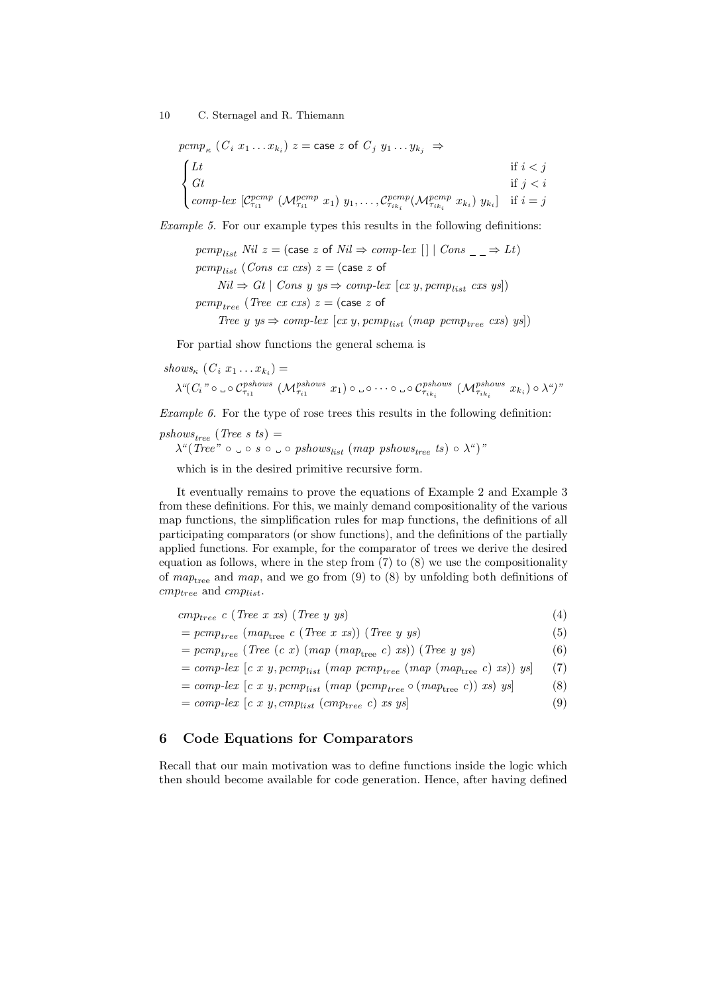$$
pcmp_{\kappa} (C_i x_1 ... x_{k_i}) z = \text{case } z \text{ of } C_j y_1 ... y_{k_j} \Rightarrow
$$
  
\n
$$
\begin{cases}\nLt & \text{if } i < j \\
Gt & \text{if } j < i \\
comp-lex [C_{\tau_{i1}}^{pcmp} (\mathcal{M}_{\tau_{i1}}^{pcmp} x_1) y_1, ..., C_{\tau_{ik_i}}^{pcmp} (\mathcal{M}_{\tau_{ik_i}}^{pcmp} x_{k_i}) y_{k_i}] & \text{if } i = j\n\end{cases}
$$

<span id="page-9-4"></span>Example 5. For our example types this results in the following definitions:

 $pcmp_{list}$  Nil  $z = (case \ z \ of \ Nil \Rightarrow comp-lex [] \ | \ Cons \ \_ \Rightarrow Lt)$  $pcmp_{list}$  (*Cons cx cxs*)  $z =$  (case z of  $Nil$  ⇒ Gt | Cons y ys ⇒ comp-lex [cx y, pcmp<sub>list</sub> cxs ys])  $pcmp_{tree}$  (*Tree cx cxs*)  $z =$  (case z of Tree y ys  $\Rightarrow$  comp-lex  $[cx \, y, \text{pcmp}_{list} \, (\text{map } \text{pcmp}_{tree} \, \text{cxs}) \, \text{ys}])$ 

For partial show functions the general schema is

$$
shows_{\kappa} (C_i x_1 ... x_{k_i}) =
$$
  

$$
\lambda^{\omega}(C_i^{\nu} \circ \ldots \circ C_{\tau_{i1}}^{pshows} (\mathcal{M}_{\tau_{i1}}^{phows} x_1) \circ \ldots \circ \ldots \circ C_{\tau_{ik_i}}^{pshows} (\mathcal{M}_{\tau_{ik_i}}^{phows} x_{k_i}) \circ \lambda^{\omega})^{\nu}
$$

Example 6. For the type of rose trees this results in the following definition:

 $pshows_{tree}$  (Tree s ts) =  $\lambda^{\mu}$ (*Tree*"  $\circ$   $\circ$   $\circ$   $\circ$   $\circ$   $\circ$  pshows<sub>list</sub> (map pshows<sub>tree</sub> ts)  $\circ$   $\lambda^{\mu}$ )"

which is in the desired primitive recursive form.

It eventually remains to prove the equations of Example [2](#page-4-0) and Example [3](#page-5-1) from these definitions. For this, we mainly demand compositionality of the various map functions, the simplification rules for map functions, the definitions of all participating comparators (or show functions), and the definitions of the partially applied functions. For example, for the comparator of trees we derive the desired equation as follows, where in the step from  $(7)$  to  $(8)$  we use the compositionality of  $map_{\text{tree}}$  and  $map$ , and we go from [\(9\)](#page-9-3) to [\(8\)](#page-9-2) by unfolding both definitions of cmptree and cmplist.

|  |  | $cmp_{tree}$ c (Tree x xs) (Tree y ys) |  |  |  |
|--|--|----------------------------------------|--|--|--|
|--|--|----------------------------------------|--|--|--|

- $=$  pcmp<sub>tree</sub> (map<sub>tree</sub> c (Tree x xs)) (Tree y ys) (5)
- <span id="page-9-1"></span> $=$  pcmp<sub>tree</sub> (Tree (c x) (map (map<sub>tree</sub> c) xs)) (Tree y ys) (6)
- $= comp\text{-}lex [c x y, pcmp_{list} (map \text{ }pcmp_{tree} (map (map_{tree} c) xs)) ys]$  (7)
- <span id="page-9-2"></span> $= comp\text{-}lex \,[c \; x \; y, \text{pcmp}_{list} \;(\text{map} \;(\text{pcmp}_{tree} \circ (\text{map}_{tree} \; c)) \; xs) \; ys]$  (8)
- <span id="page-9-3"></span> $= comp\text{-}lex [c x y, \text{cm}p_{list} (\text{cm}p_{tree} c) xs y s]$  (9)

# <span id="page-9-0"></span>6 Code Equations for Comparators

Recall that our main motivation was to define functions inside the logic which then should become available for code generation. Hence, after having defined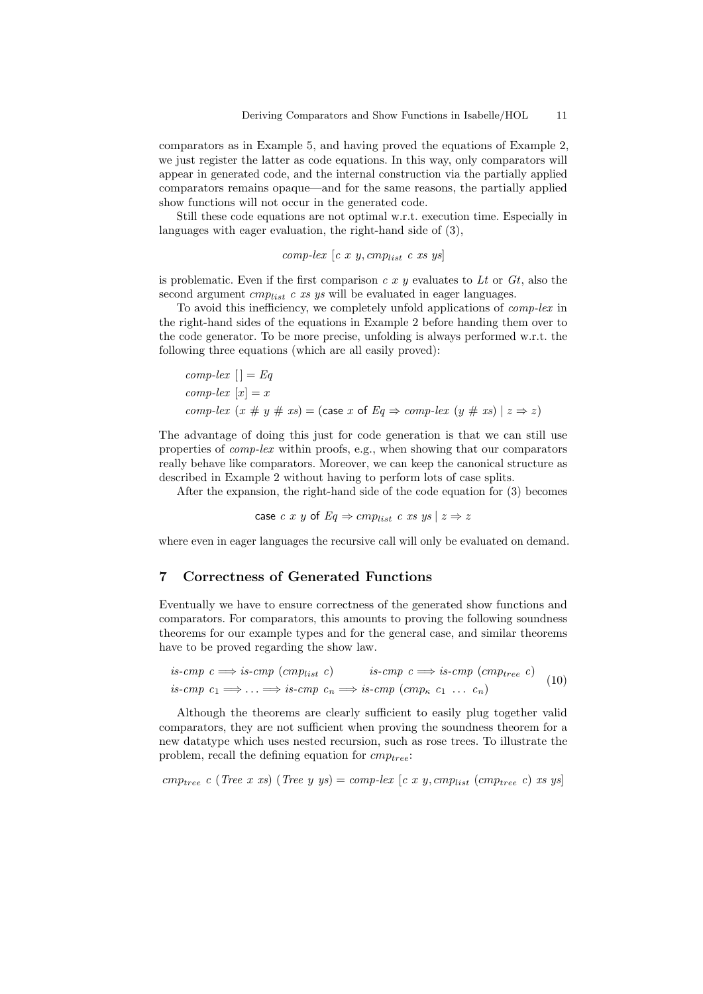comparators as in Example [5,](#page-9-4) and having proved the equations of Example [2,](#page-4-0) we just register the latter as code equations. In this way, only comparators will appear in generated code, and the internal construction via the partially applied comparators remains opaque—and for the same reasons, the partially applied show functions will not occur in the generated code.

Still these code equations are not optimal w.r.t. execution time. Especially in languages with eager evaluation, the right-hand side of [\(3\)](#page-5-2),

$$
comp\text{-}lex [c\ x\ y,cmp_{list}\ c\ xs\ ys]
$$

is problematic. Even if the first comparison c x y evaluates to Lt or  $G_t$ , also the second argument  $cmp_{list} c xs ys will be evaluated in eager languages.$ 

To avoid this inefficiency, we completely unfold applications of comp-lex in the right-hand sides of the equations in Example [2](#page-4-0) before handing them over to the code generator. To be more precise, unfolding is always performed w.r.t. the following three equations (which are all easily proved):

$$
complex [ ] = Eq
$$
  
complex [x] = x  
complex (x # y # xs) = (case x of Eq  $\Rightarrow$  comp-lex (y # xs) | z  $\Rightarrow$  z)

The advantage of doing this just for code generation is that we can still use properties of comp-lex within proofs, e.g., when showing that our comparators really behave like comparators. Moreover, we can keep the canonical structure as described in Example [2](#page-4-0) without having to perform lots of case splits.

After the expansion, the right-hand side of the code equation for [\(3\)](#page-5-2) becomes

<span id="page-10-1"></span>case c x y of 
$$
Eq \Rightarrow cmp_{list} c
$$
 xs  $ys \mid z \Rightarrow z$ 

where even in eager languages the recursive call will only be evaluated on demand.

# <span id="page-10-0"></span>7 Correctness of Generated Functions

Eventually we have to ensure correctness of the generated show functions and comparators. For comparators, this amounts to proving the following soundness theorems for our example types and for the general case, and similar theorems have to be proved regarding the show law.

is-cmp 
$$
c \implies
$$
 is-cmp (cmp<sub>list</sub> c) is-cmp  $c \implies$  is-cmp (cmp<sub>tree</sub> c)   
is-cmp  $c_1 \implies \dots \implies$  is-cmp  $c_n \implies$  is-cmp (cmp<sub>κ</sub>  $c_1 \dots c_n$ ) (10)

Although the theorems are clearly sufficient to easily plug together valid comparators, they are not sufficient when proving the soundness theorem for a new datatype which uses nested recursion, such as rose trees. To illustrate the problem, recall the defining equation for  $cmp_{tree}$ :

$$
cmp_{tree} c (Tree x xs) (Tree y ys) = comp-lex [c x y, comp_{list} (cmp_{tree} c) xs ys]
$$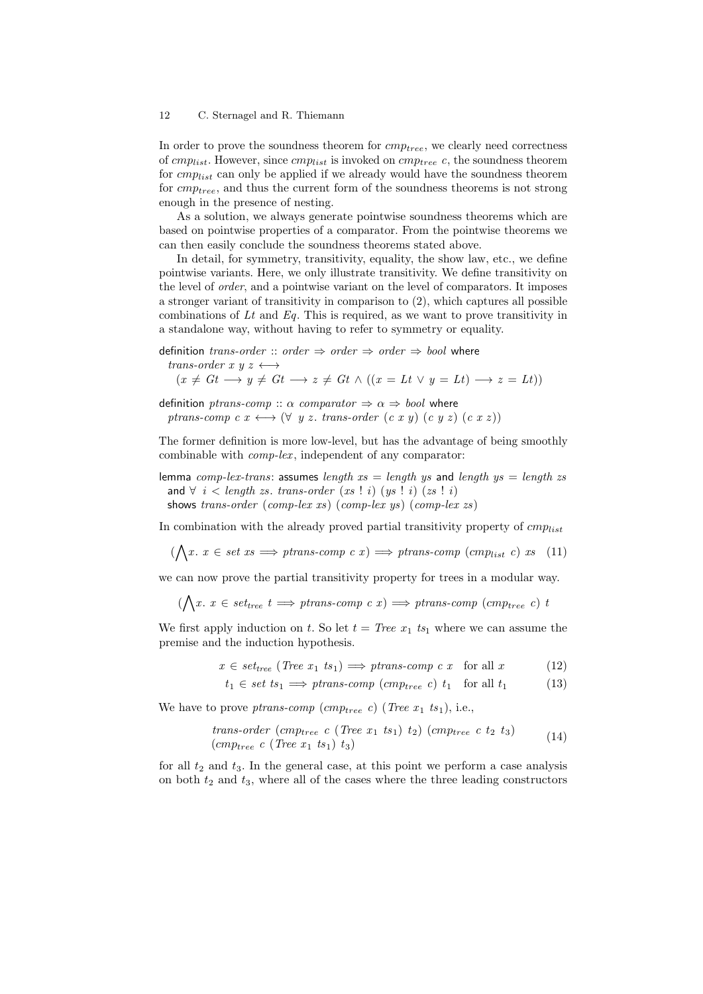In order to prove the soundness theorem for  $cmp_{tree}$ , we clearly need correctness of  $cmp_{list}$ . However, since  $cmp_{list}$  is invoked on  $cmp_{tree}$  c, the soundness theorem for  $cmp_{list}$  can only be applied if we already would have the soundness theorem for  $cmp_{tree}$ , and thus the current form of the soundness theorems is not strong enough in the presence of nesting.

As a solution, we always generate pointwise soundness theorems which are based on pointwise properties of a comparator. From the pointwise theorems we can then easily conclude the soundness theorems stated above.

In detail, for symmetry, transitivity, equality, the show law, etc., we define pointwise variants. Here, we only illustrate transitivity. We define transitivity on the level of order, and a pointwise variant on the level of comparators. It imposes a stronger variant of transitivity in comparison to [\(2\)](#page-4-1), which captures all possible combinations of  $Lt$  and  $Eq.$  This is required, as we want to prove transitivity in a standalone way, without having to refer to symmetry or equality.

definition trans-order :: order  $\Rightarrow$  order  $\Rightarrow$  order  $\Rightarrow$  bool where

trans-order x y z  $\longleftrightarrow$ 

 $(x \neq Gt \longrightarrow y \neq Gt \longrightarrow z \neq Gt \wedge ((x = Lt \vee y = Lt) \longrightarrow z = Lt))$ 

definition ptrans-comp ::  $\alpha$  comparator  $\Rightarrow \alpha \Rightarrow \text{bool}$  where ptrans-comp  $c \ x \longleftrightarrow (\forall \ y \ z.$  trans-order  $(c \ x \ y) \ (c \ y \ z) \ (c \ x \ z))$ 

The former definition is more low-level, but has the advantage of being smoothly combinable with  $comp-lex$ , independent of any comparator:

lemma comp-lex-trans: assumes length  $xs = length$  us and length  $ys = length$  is and  $\forall i < length \text{zs.} trans-order \text{ (xs. } i) \text{ (ys. } i) \text{ (zs. } i)$ shows trans-order (comp-lex xs) (comp-lex ys) (comp-lex zs)

In combination with the already proved partial transitivity property of  $cmp_{i\epsilon t}$ 

 $(\bigwedge x. x \in set \text{xs} \implies \text{ptrans-comp} \text{c} x) \implies \text{ptrans-comp} \text{ (cmp}_{list} \text{c}) \text{xs}$  (11)

we can now prove the partial transitivity property for trees in a modular way.

$$
(\bigwedge x. x \in set_{tree} t \implies prtrans-comp \ c \ x) \implies prtrans-comp \ (cmp_{tree} \ c) \ t
$$

We first apply induction on t. So let  $t = Tree \ x_1 \ ts_1$  where we can assume the premise and the induction hypothesis.

<span id="page-11-2"></span>
$$
x \in set_{tree} (Tree x_1 ts_1) \Longrightarrow prans-comp c x \text{ for all } x \tag{12}
$$

<span id="page-11-3"></span><span id="page-11-1"></span><span id="page-11-0"></span>
$$
t_1 \in set \ t s_1 \Longrightarrow \text{ptrans-comp (cmp}_{tree} \ c) \ t_1 \quad \text{for all } t_1 \tag{13}
$$

We have to prove ptrans-comp (cmp<sub>tree</sub> c) (Tree  $x_1$  ts<sub>1</sub>), i.e.,

$$
trans-order (cmp_{tree} c (Tree x1 ts1) t2) (cmp_{tree} c t2 t3)
$$
  
(cmp<sub>tree</sub> c (Tree x<sub>1</sub> ts<sub>1</sub>) t<sub>3</sub>) (2)

for all  $t_2$  and  $t_3$ . In the general case, at this point we perform a case analysis on both  $t_2$  and  $t_3$ , where all of the cases where the three leading constructors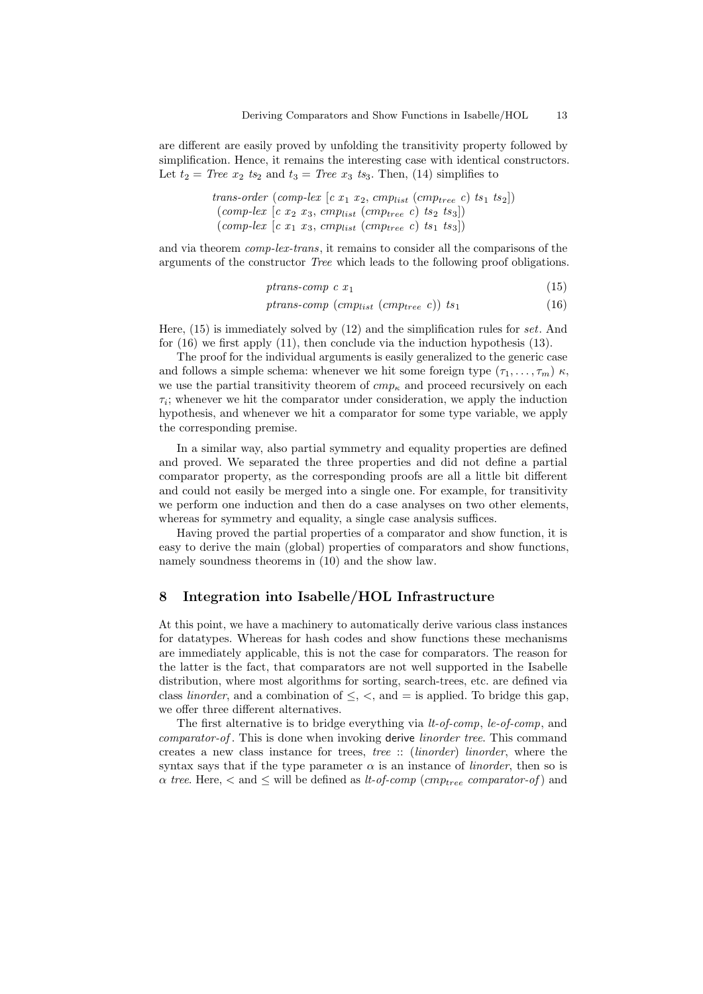are different are easily proved by unfolding the transitivity property followed by simplification. Hence, it remains the interesting case with identical constructors. Let  $t_2$  = Tree  $x_2$  ts<sub>2</sub> and  $t_3$  = Tree  $x_3$  ts<sub>3</sub>. Then, [\(14\)](#page-11-0) simplifies to

trans-order (comp-lex [c 
$$
x_1
$$
  $x_2$ ,  $cmp_{list}$  (comp+ree c)  $ts_1$   $ts_2$ ])  
(comp-lex [c  $x_2$   $x_3$ ,  $cmp_{list}$  (cmp<sub>tree</sub> c)  $ts_2$   $ts_3$ ])  
(comp-lex [c  $x_1$   $x_3$ ,  $cmp_{list}$  (cmp<sub>tree</sub> c)  $ts_1$   $ts_3$ ])

and via theorem comp-lex-trans, it remains to consider all the comparisons of the arguments of the constructor Tree which leads to the following proof obligations.

<span id="page-12-2"></span><span id="page-12-1"></span>
$$
ptrans-comp \ c \ x_1 \tag{15}
$$

$$
ptrans-comp\ (cmp_{list}\ (cmp_{tree}\ c))\ ts_1\tag{16}
$$

Here, [\(15\)](#page-12-1) is immediately solved by [\(12\)](#page-11-1) and the simplification rules for set. And for  $(16)$  we first apply  $(11)$ , then conclude via the induction hypothesis  $(13)$ .

The proof for the individual arguments is easily generalized to the generic case and follows a simple schema: whenever we hit some foreign type  $(\tau_1, \ldots, \tau_m)$   $\kappa$ , we use the partial transitivity theorem of  $cmp_{\kappa}$  and proceed recursively on each  $\tau_i$ ; whenever we hit the comparator under consideration, we apply the induction hypothesis, and whenever we hit a comparator for some type variable, we apply the corresponding premise.

In a similar way, also partial symmetry and equality properties are defined and proved. We separated the three properties and did not define a partial comparator property, as the corresponding proofs are all a little bit different and could not easily be merged into a single one. For example, for transitivity we perform one induction and then do a case analyses on two other elements, whereas for symmetry and equality, a single case analysis suffices.

Having proved the partial properties of a comparator and show function, it is easy to derive the main (global) properties of comparators and show functions, namely soundness theorems in [\(10\)](#page-10-1) and the show law.

### <span id="page-12-0"></span>8 Integration into Isabelle/HOL Infrastructure

At this point, we have a machinery to automatically derive various class instances for datatypes. Whereas for hash codes and show functions these mechanisms are immediately applicable, this is not the case for comparators. The reason for the latter is the fact, that comparators are not well supported in the Isabelle distribution, where most algorithms for sorting, search-trees, etc. are defined via class *linorder*, and a combination of  $\leq$ ,  $\lt$ , and  $=$  is applied. To bridge this gap, we offer three different alternatives.

The first alternative is to bridge everything via lt-of-comp, le-of-comp, and comparator-of. This is done when invoking derive *linorder tree*. This command creates a new class instance for trees, tree :: (linorder) linorder, where the syntax says that if the type parameter  $\alpha$  is an instance of *linorder*, then so is  $\alpha$  tree. Here,  $\lt$  and  $\leq$  will be defined as *lt-of-comp (cmp<sub>tree</sub> comparator-of)* and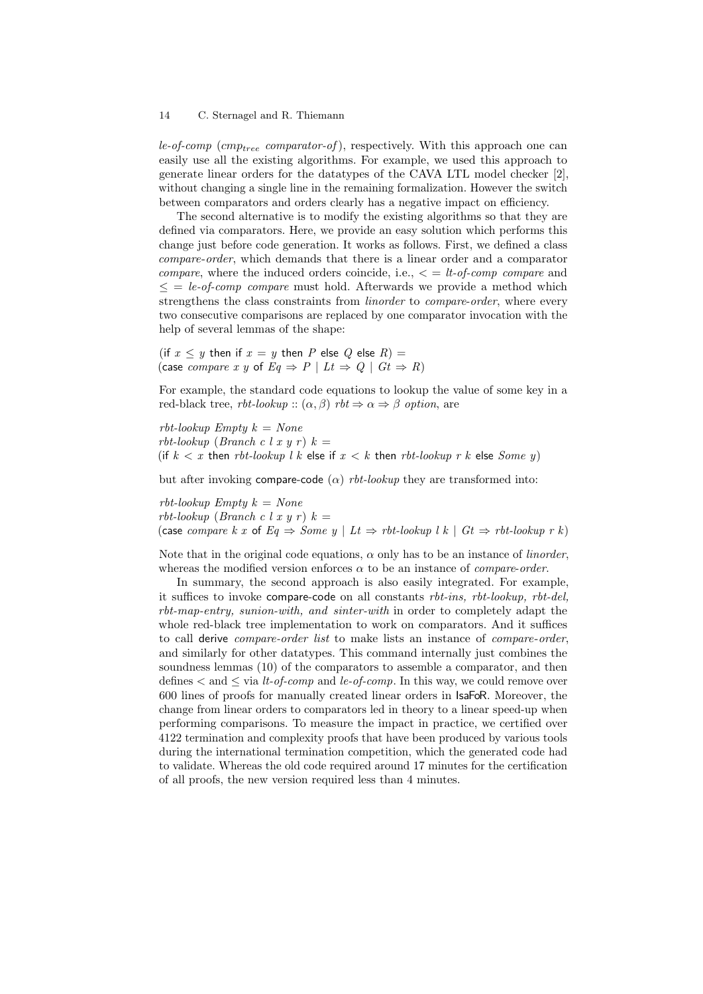le-of-comp (cmp<sub>tree</sub> comparator-of), respectively. With this approach one can easily use all the existing algorithms. For example, we used this approach to generate linear orders for the datatypes of the CAVA LTL model checker [\[2\]](#page-15-14), without changing a single line in the remaining formalization. However the switch between comparators and orders clearly has a negative impact on efficiency.

The second alternative is to modify the existing algorithms so that they are defined via comparators. Here, we provide an easy solution which performs this change just before code generation. It works as follows. First, we defined a class compare-order, which demands that there is a linear order and a comparator *compare*, where the induced orders coincide, i.e.,  $\langle \ \rangle = \ell t$ -of-comp compare and  $\leq$  = le-of-comp compare must hold. Afterwards we provide a method which strengthens the class constraints from *linorder* to *compare-order*, where every two consecutive comparisons are replaced by one comparator invocation with the help of several lemmas of the shape:

(if  $x \leq y$  then if  $x = y$  then P else Q else R) = (case *compare x y* of  $Eq \Rightarrow P \mid Lt \Rightarrow Q \mid Gt \Rightarrow R$ )

For example, the standard code equations to lookup the value of some key in a red-black tree,  $rbt\text{-}lookup :: (\alpha, \beta) rt \Rightarrow \alpha \Rightarrow \beta \text{ option}$ , are

 $rbt\text{-}lookup$   $Empty\ k = None$ rbt-lookup (Branch c l x y r)  $k =$ (if  $k < x$  then rbt-lookup l k else if  $x < k$  then rbt-lookup r k else Some y)

but after invoking compare-code ( $\alpha$ ) rbt-lookup they are transformed into:

 $rbt\text{-}lookup$   $Empty$   $k = None$ rbt-lookup (Branch c l x y r)  $k =$ (case compare k x of  $Eq \Rightarrow Some \ y \mid Lt \Rightarrow rbt-lookup \ l \ k \mid Gt \Rightarrow rbt-lookup \ r \ k)$ 

Note that in the original code equations,  $\alpha$  only has to be an instance of *linorder*, whereas the modified version enforces  $\alpha$  to be an instance of *compare-order*.

In summary, the second approach is also easily integrated. For example, it suffices to invoke compare-code on all constants rbt-ins, rbt-lookup, rbt-del, rbt-map-entry, sunion-with, and sinter-with in order to completely adapt the whole red-black tree implementation to work on comparators. And it suffices to call derive compare-order list to make lists an instance of compare-order, and similarly for other datatypes. This command internally just combines the soundness lemmas [\(10\)](#page-10-1) of the comparators to assemble a comparator, and then defines  $\lt$  and  $\leq$  via *lt-of-comp* and *le-of-comp*. In this way, we could remove over 600 lines of proofs for manually created linear orders in IsaFoR. Moreover, the change from linear orders to comparators led in theory to a linear speed-up when performing comparisons. To measure the impact in practice, we certified over 4122 termination and complexity proofs that have been produced by various tools during the international termination competition, which the generated code had to validate. Whereas the old code required around 17 minutes for the certification of all proofs, the new version required less than 4 minutes.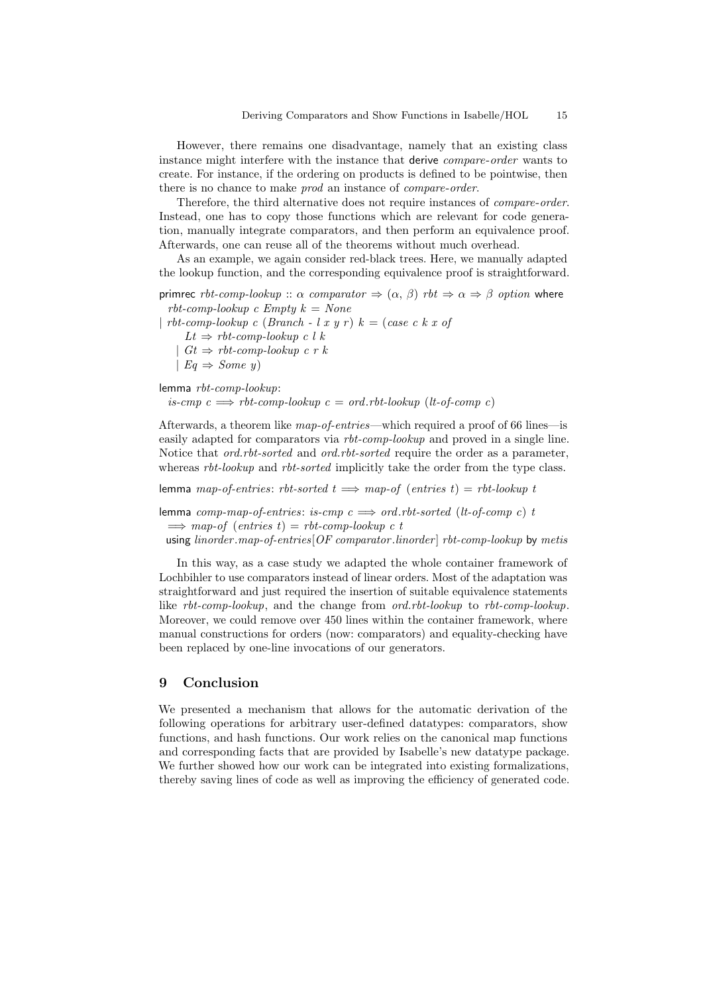However, there remains one disadvantage, namely that an existing class instance might interfere with the instance that derive compare-order wants to create. For instance, if the ordering on products is defined to be pointwise, then there is no chance to make *prod* an instance of *compare-order*.

Therefore, the third alternative does not require instances of compare-order. Instead, one has to copy those functions which are relevant for code generation, manually integrate comparators, and then perform an equivalence proof. Afterwards, one can reuse all of the theorems without much overhead.

As an example, we again consider red-black trees. Here, we manually adapted the lookup function, and the corresponding equivalence proof is straightforward.

primrec rbt-comp-lookup ::  $\alpha$  comparator  $\Rightarrow (\alpha, \beta)$  rbt  $\Rightarrow \alpha \Rightarrow \beta$  option where  $rbt\text{-}comp\text{-}lookup\ c\ Empty\ k = None$ 

| rbt-comp-lookup c (Branch - l x y r)  $k = (case \; c \; k \; x \; of$  $Lt \Rightarrow rbt\text{-}comp\text{-}lookup \ c \ l \ k$  $Gt \Rightarrow rbt\text{-}comp\text{-}lookup \ c \ r \ k$ |  $Eq \Rightarrow Some \ y)$ 

lemma rbt-comp-lookup:

is-cmp  $c \implies rbt\text{-}comp\text{-}lookup$   $c = ord.rbt\text{-}lookup$  (*lt*-of-comp c)

Afterwards, a theorem like map-of-entries—which required a proof of 66 lines—is easily adapted for comparators via rbt-comp-lookup and proved in a single line. Notice that *ord.rbt-sorted* and *ord.rbt-sorted* require the order as a parameter, whereas *rbt-lookup* and *rbt-sorted* implicitly take the order from the type class.

lemma map-of-entries: rbt-sorted  $t \implies map$ -of (entries t) = rbt-lookup t

lemma comp-map-of-entries: is-cmp  $c \implies ord.rbt\text{-}sorted$  (*lt-of-comp c*) t  $\implies$  map-of (entries t) = rbt-comp-lookup c t

using linorder map-of-entries  $[OF\ comparator\ linear\]$ rbt-comp-lookup by metis

In this way, as a case study we adapted the whole container framework of Lochbihler to use comparators instead of linear orders. Most of the adaptation was straightforward and just required the insertion of suitable equivalence statements like rbt-comp-lookup, and the change from ord.rbt-lookup to rbt-comp-lookup. Moreover, we could remove over 450 lines within the container framework, where manual constructions for orders (now: comparators) and equality-checking have been replaced by one-line invocations of our generators.

### <span id="page-14-0"></span>9 Conclusion

We presented a mechanism that allows for the automatic derivation of the following operations for arbitrary user-defined datatypes: comparators, show functions, and hash functions. Our work relies on the canonical map functions and corresponding facts that are provided by Isabelle's new datatype package. We further showed how our work can be integrated into existing formalizations, thereby saving lines of code as well as improving the efficiency of generated code.